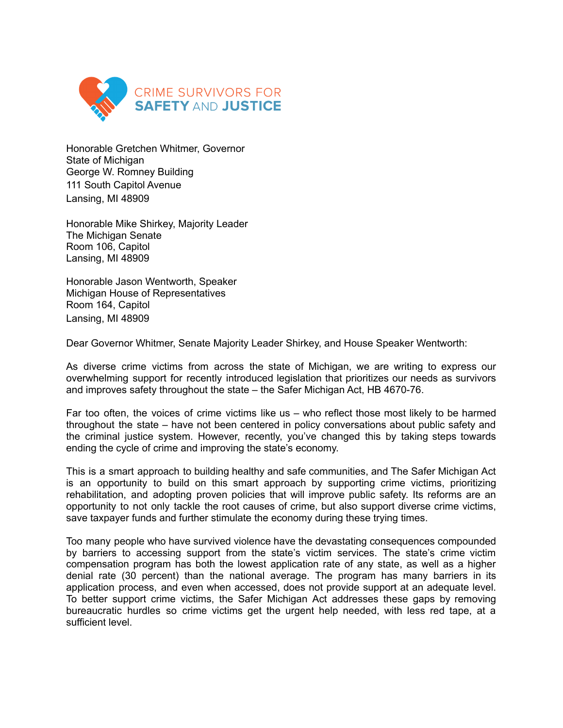

Honorable Gretchen Whitmer, Governor State of Michigan George W. Romney Building 111 South Capitol Avenue Lansing, MI 48909

Honorable Mike Shirkey, Majority Leader The Michigan Senate Room 106, Capitol Lansing, MI 48909

Honorable Jason Wentworth, Speaker Michigan House of Representatives Room 164, Capitol Lansing, MI 48909

Dear Governor Whitmer, Senate Majority Leader Shirkey, and House Speaker Wentworth:

As diverse crime victims from across the state of Michigan, we are writing to express our overwhelming support for recently introduced legislation that prioritizes our needs as survivors and improves safety throughout the state – the Safer Michigan Act, HB 4670-76.

Far too often, the voices of crime victims like us – who reflect those most likely to be harmed throughout the state – have not been centered in policy conversations about public safety and the criminal justice system. However, recently, you've changed this by taking steps towards ending the cycle of crime and improving the state's economy.

This is a smart approach to building healthy and safe communities, and The Safer Michigan Act is an opportunity to build on this smart approach by supporting crime victims, prioritizing rehabilitation, and adopting proven policies that will improve public safety. Its reforms are an opportunity to not only tackle the root causes of crime, but also support diverse crime victims, save taxpayer funds and further stimulate the economy during these trying times.

Too many people who have survived violence have the devastating consequences compounded by barriers to accessing support from the state's victim services. The state's crime victim compensation program has both the lowest application rate of any state, as well as a higher denial rate (30 percent) than the national average. The program has many barriers in its application process, and even when accessed, does not provide support at an adequate level. To better support crime victims, the Safer Michigan Act addresses these gaps by removing bureaucratic hurdles so crime victims get the urgent help needed, with less red tape, at a sufficient level.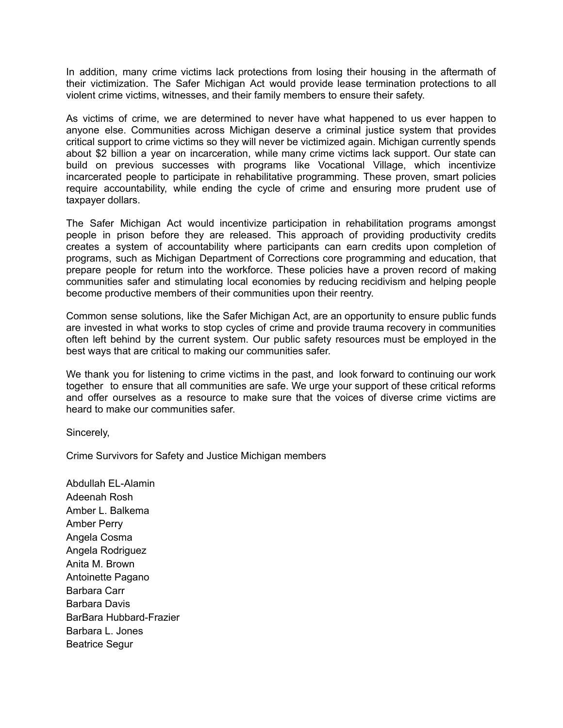In addition, many crime victims lack protections from losing their housing in the aftermath of their victimization. The Safer Michigan Act would provide lease termination protections to all violent crime victims, witnesses, and their family members to ensure their safety.

As victims of crime, we are determined to never have what happened to us ever happen to anyone else. Communities across Michigan deserve a criminal justice system that provides critical support to crime victims so they will never be victimized again. Michigan currently spends about \$2 billion a year on incarceration, while many crime victims lack support. Our state can build on previous successes with programs like Vocational Village, which incentivize incarcerated people to participate in rehabilitative programming. These proven, smart policies require accountability, while ending the cycle of crime and ensuring more prudent use of taxpayer dollars.

The Safer Michigan Act would incentivize participation in rehabilitation programs amongst people in prison before they are released. This approach of providing productivity credits creates a system of accountability where participants can earn credits upon completion of programs, such as Michigan Department of Corrections core programming and education, that prepare people for return into the workforce. These policies have a proven record of making communities safer and stimulating local economies by reducing recidivism and helping people become productive members of their communities upon their reentry.

Common sense solutions, like the Safer Michigan Act, are an opportunity to ensure public funds are invested in what works to stop cycles of crime and provide trauma recovery in communities often left behind by the current system. Our public safety resources must be employed in the best ways that are critical to making our communities safer.

We thank you for listening to crime victims in the past, and look forward to continuing our work together to ensure that all communities are safe. We urge your support of these critical reforms and offer ourselves as a resource to make sure that the voices of diverse crime victims are heard to make our communities safer.

Sincerely,

Crime Survivors for Safety and Justice Michigan members

Abdullah EL-Alamin Adeenah Rosh Amber L. Balkema Amber Perry Angela Cosma Angela Rodriguez Anita M. Brown Antoinette Pagano Barbara Carr Barbara Davis BarBara Hubbard-Frazier Barbara L. Jones Beatrice Segur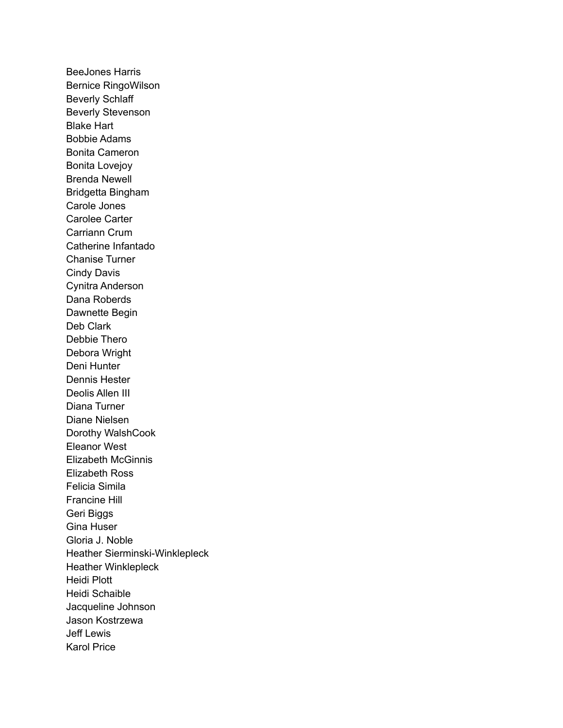BeeJones Harris Bernice RingoWilson Beverly Schlaff Beverly Stevenson Blake Hart Bobbie Adams Bonita Cameron Bonita Lovejoy Brenda Newell Bridgetta Bingham Carole Jones Carolee Carter Carriann Crum Catherine Infantado Chanise Turner Cindy Davis Cynitra Anderson Dana Roberds Dawnette Begin Deb Clark Debbie Thero Debora Wright Deni Hunter Dennis Hester Deolis Allen III Diana Turner Diane Nielsen Dorothy WalshCook Eleanor West Elizabeth McGinnis Elizabeth Ross Felicia Simila Francine Hill Geri Biggs Gina Huser Gloria J. Noble Heather Sierminski-Winklepleck Heather Winklepleck Heidi Plott Heidi Schaible Jacqueline Johnson Jason Kostrzewa Jeff Lewis Karol Price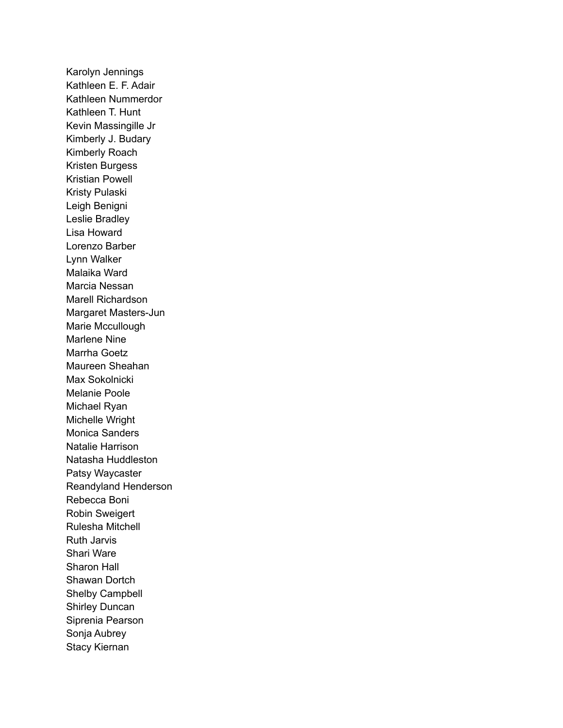Karolyn Jennings Kathleen E. F. Adair Kathleen Nummerdor Kathleen T. Hunt Kevin Massingille Jr Kimberly J. Budary Kimberly Roach Kristen Burgess Kristian Powell Kristy Pulaski Leigh Benigni Leslie Bradley Lisa Howard Lorenzo Barber Lynn Walker Malaika Ward Marcia Nessan Marell Richardson Margaret Masters-Jun Marie Mccullough Marlene Nine Marrha Goetz Maureen Sheahan Max Sokolnicki Melanie Poole Michael Ryan Michelle Wright Monica Sanders Natalie Harrison Natasha Huddleston Patsy Waycaster Reandyland Henderson Rebecca Boni Robin Sweigert Rulesha Mitchell Ruth Jarvis Shari Ware Sharon Hall Shawan Dortch Shelby Campbell Shirley Duncan Siprenia Pearson Sonja Aubrey Stacy Kiernan